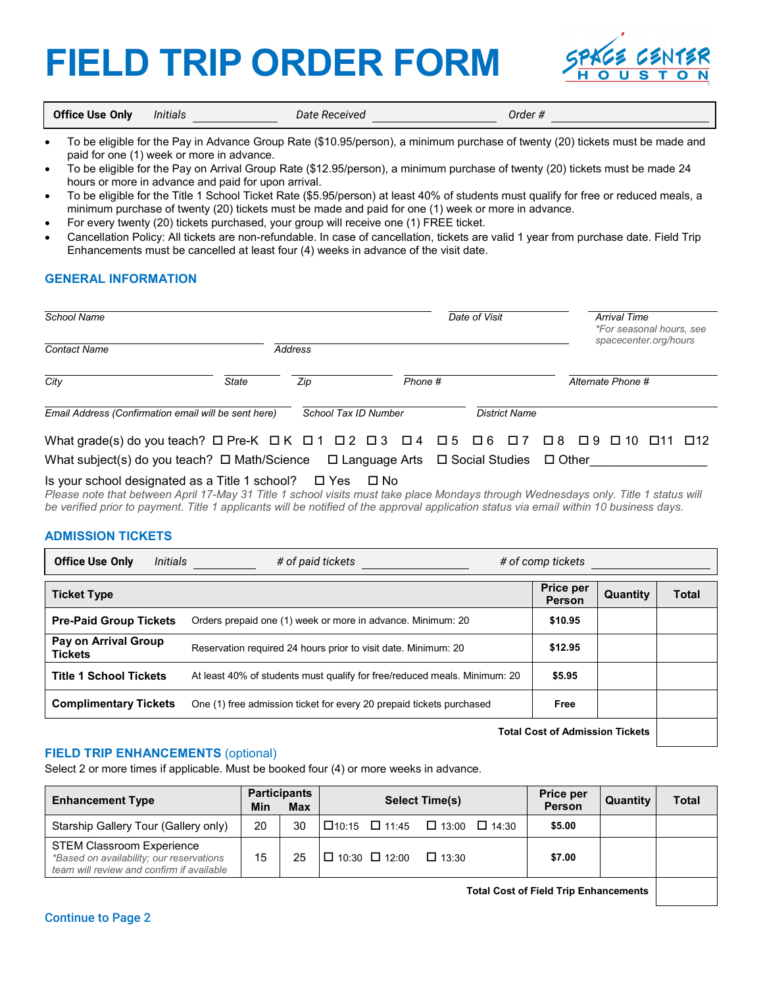# **FIELD TRIP ORDER FORM**



**Office Use Only** *Initials Date Received Order #*

- To be eligible for the Pay in Advance Group Rate (\$10.95/person), a minimum purchase of twenty (20) tickets must be made and paid for one (1) week or more in advance.
- To be eligible for the Pay on Arrival Group Rate (\$12.95/person), a minimum purchase of twenty (20) tickets must be made 24 hours or more in advance and paid for upon arrival.
- To be eligible for the Title 1 School Ticket Rate (\$5.95/person) at least 40% of students must qualify for free or reduced meals, a minimum purchase of twenty (20) tickets must be made and paid for one (1) week or more in advance.
- For every twenty (20) tickets purchased, your group will receive one (1) FREE ticket.
- Cancellation Policy: All tickets are non-refundable. In case of cancellation, tickets are valid 1 year from purchase date. Field Trip Enhancements must be cancelled at least four (4) weeks in advance of the visit date.

## **GENERAL INFORMATION**

| School Name                                                                                                                                                                                                                                                         |              |         | Date of Visit        |         |  |  | <b>Arrival Time</b><br><i>*For seasonal hours, see</i><br>spacecenter.org/hours |                      |  |  |  |        |
|---------------------------------------------------------------------------------------------------------------------------------------------------------------------------------------------------------------------------------------------------------------------|--------------|---------|----------------------|---------|--|--|---------------------------------------------------------------------------------|----------------------|--|--|--|--------|
| <b>Contact Name</b>                                                                                                                                                                                                                                                 |              | Address |                      |         |  |  |                                                                                 |                      |  |  |  |        |
| City                                                                                                                                                                                                                                                                | <b>State</b> | Zip     |                      | Phone # |  |  | Alternate Phone #                                                               |                      |  |  |  |        |
| Email Address (Confirmation email will be sent here)                                                                                                                                                                                                                |              |         | School Tax ID Number |         |  |  |                                                                                 | <b>District Name</b> |  |  |  |        |
| What grade(s) do you teach? $\Box$ Pre-K $\Box K$ $\Box 1$ $\Box 2$ $\Box 3$ $\Box 4$ $\Box 5$ $\Box 6$ $\Box 7$ $\Box 8$ $\Box 9$ $\Box 10$ $\Box 11$<br>What subject(s) do you teach? $\Box$ Math/Science $\Box$ Language Arts $\Box$ Social Studies $\Box$ Other |              |         |                      |         |  |  |                                                                                 |                      |  |  |  | □ □ 12 |

### Is your school designated as a Title 1 school?  $\Box$  Yes  $\Box$  No

*Please note that between April 17-May 31 Title 1 school visits must take place Mondays through Wednesdays only. Title 1 status will be verified prior to payment. Title 1 applicants will be notified of the approval application status via email within 10 business days.* 

#### **ADMISSION TICKETS**

| <b>Office Use Only</b><br>Initials     | # of paid tickets                                                         | # of comp tickets          |          |              |  |  |
|----------------------------------------|---------------------------------------------------------------------------|----------------------------|----------|--------------|--|--|
| <b>Ticket Type</b>                     |                                                                           | Price per<br><b>Person</b> | Quantity | <b>Total</b> |  |  |
| <b>Pre-Paid Group Tickets</b>          | Orders prepaid one (1) week or more in advance. Minimum: 20               | \$10.95                    |          |              |  |  |
| Pay on Arrival Group<br><b>Tickets</b> | Reservation required 24 hours prior to visit date. Minimum: 20            | \$12.95                    |          |              |  |  |
| <b>Title 1 School Tickets</b>          | At least 40% of students must qualify for free/reduced meals. Minimum: 20 | \$5.95                     |          |              |  |  |
| <b>Complimentary Tickets</b>           | One (1) free admission ticket for every 20 prepaid tickets purchased      | Free                       |          |              |  |  |
| エンジント ウェージ しょうきんけい きょうしゅ エリント・ショー      |                                                                           |                            |          |              |  |  |

**Total Cost of Admission Tickets**

### **FIELD TRIP ENHANCEMENTS** (optional)

Select 2 or more times if applicable. Must be booked four (4) or more weeks in advance.

| <b>Enhancement Type</b>                                                                                                   | Min | <b>Participants</b><br><b>Max</b> | <b>Select Time(s)</b> | <b>Price per</b><br>Person      | Quantity | <b>Total</b> |  |
|---------------------------------------------------------------------------------------------------------------------------|-----|-----------------------------------|-----------------------|---------------------------------|----------|--------------|--|
| Starship Gallery Tour (Gallery only)                                                                                      | 20  | 30                                |                       | I囗10:15 囗 11:45 囗 13:00 囗 14:30 | \$5.00   |              |  |
| <b>STEM Classroom Experience</b><br>*Based on availability; our reservations<br>team will review and confirm if available | 15  | 25                                | I□ 10:30 □ 12:00      | $\Box$ 13:30                    | \$7.00   |              |  |

**Total Cost of Field Trip Enhancements**